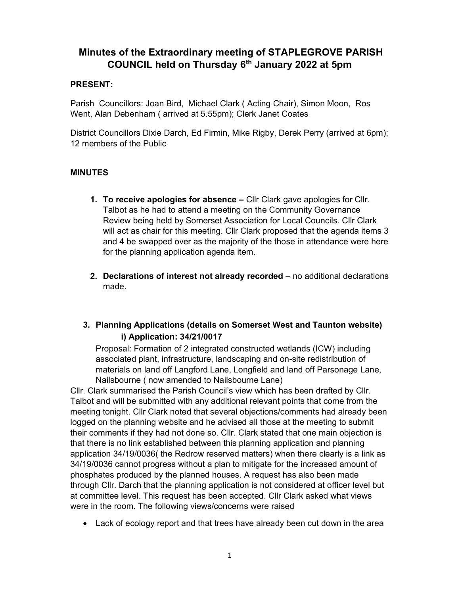# Minutes of the Extraordinary meeting of STAPLEGROVE PARISH COUNCIL held on Thursday 6<sup>th</sup> January 2022 at 5pm

#### PRESENT:

Parish Councillors: Joan Bird, Michael Clark ( Acting Chair), Simon Moon, Ros Went, Alan Debenham ( arrived at 5.55pm); Clerk Janet Coates

District Councillors Dixie Darch, Ed Firmin, Mike Rigby, Derek Perry (arrived at 6pm); 12 members of the Public

### MINUTES

- 1. To receive apologies for absence Cllr Clark gave apologies for Cllr. Talbot as he had to attend a meeting on the Community Governance Review being held by Somerset Association for Local Councils. Cllr Clark will act as chair for this meeting. Cllr Clark proposed that the agenda items 3 and 4 be swapped over as the majority of the those in attendance were here for the planning application agenda item.
- 2. Declarations of interest not already recorded no additional declarations made.

## 3. Planning Applications (details on Somerset West and Taunton website) i) Application: 34/21/0017

Proposal: Formation of 2 integrated constructed wetlands (ICW) including associated plant, infrastructure, landscaping and on-site redistribution of materials on land off Langford Lane, Longfield and land off Parsonage Lane, Nailsbourne ( now amended to Nailsbourne Lane)

Cllr. Clark summarised the Parish Council's view which has been drafted by Cllr. Talbot and will be submitted with any additional relevant points that come from the meeting tonight. Cllr Clark noted that several objections/comments had already been logged on the planning website and he advised all those at the meeting to submit their comments if they had not done so. Cllr. Clark stated that one main objection is that there is no link established between this planning application and planning application 34/19/0036( the Redrow reserved matters) when there clearly is a link as 34/19/0036 cannot progress without a plan to mitigate for the increased amount of phosphates produced by the planned houses. A request has also been made through Cllr. Darch that the planning application is not considered at officer level but at committee level. This request has been accepted. Cllr Clark asked what views were in the room. The following views/concerns were raised

Lack of ecology report and that trees have already been cut down in the area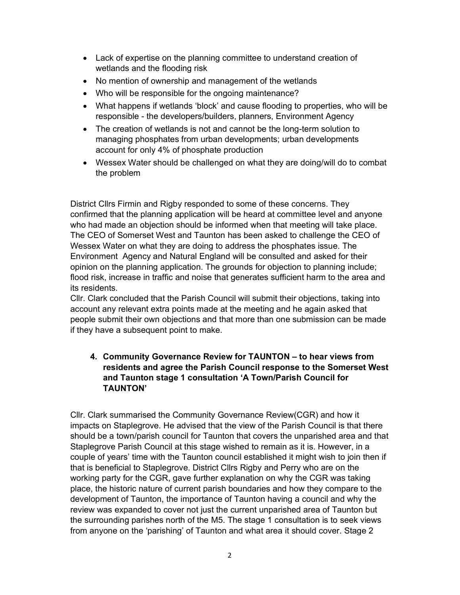- Lack of expertise on the planning committee to understand creation of wetlands and the flooding risk
- No mention of ownership and management of the wetlands
- Who will be responsible for the ongoing maintenance?
- What happens if wetlands 'block' and cause flooding to properties, who will be responsible - the developers/builders, planners, Environment Agency
- The creation of wetlands is not and cannot be the long-term solution to managing phosphates from urban developments; urban developments account for only 4% of phosphate production
- Wessex Water should be challenged on what they are doing/will do to combat the problem

District Cllrs Firmin and Rigby responded to some of these concerns. They confirmed that the planning application will be heard at committee level and anyone who had made an objection should be informed when that meeting will take place. The CEO of Somerset West and Taunton has been asked to challenge the CEO of Wessex Water on what they are doing to address the phosphates issue. The Environment Agency and Natural England will be consulted and asked for their opinion on the planning application. The grounds for objection to planning include; flood risk, increase in traffic and noise that generates sufficient harm to the area and its residents.

Cllr. Clark concluded that the Parish Council will submit their objections, taking into account any relevant extra points made at the meeting and he again asked that people submit their own objections and that more than one submission can be made if they have a subsequent point to make.

#### 4. Community Governance Review for TAUNTON – to hear views from residents and agree the Parish Council response to the Somerset West and Taunton stage 1 consultation 'A Town/Parish Council for TAUNTON'

Cllr. Clark summarised the Community Governance Review(CGR) and how it impacts on Staplegrove. He advised that the view of the Parish Council is that there should be a town/parish council for Taunton that covers the unparished area and that Staplegrove Parish Council at this stage wished to remain as it is. However, in a couple of years' time with the Taunton council established it might wish to join then if that is beneficial to Staplegrove. District Cllrs Rigby and Perry who are on the working party for the CGR, gave further explanation on why the CGR was taking place, the historic nature of current parish boundaries and how they compare to the development of Taunton, the importance of Taunton having a council and why the review was expanded to cover not just the current unparished area of Taunton but the surrounding parishes north of the M5. The stage 1 consultation is to seek views from anyone on the 'parishing' of Taunton and what area it should cover. Stage 2